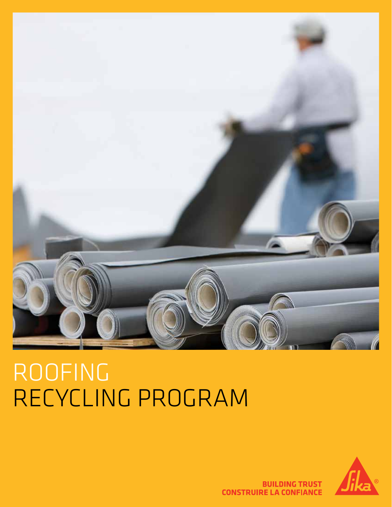

# ROOFING RECYCLING PROGRAM



**BUILDING TRUST CONSTRUIRE LA CONFIANCE**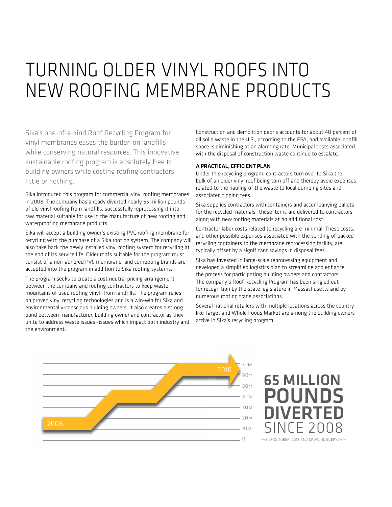## TURNING OLDER VINYL ROOFS INTO NEW ROOFING MEMBRANE PRODUCTS

Sika's one-of-a-kind Roof Recycling Program for vinyl membranes eases the burden on landfills while conserving natural resources. This innovative, sustainable roofing program is absolutely free to building owners while costing roofing contractors little or nothing.

Sika introduced this program for commercial vinyl roofing membranes in 2008. The company has already diverted nearly 65 million pounds of old vinyl roofing from landfills, successfully reprocessing it into raw material suitable for use in the manufacture of new roofing and waterproofing membrane products.

Sika will accept a building owner's existing PVC roofing membrane for recycling with the purchase of a Sika roofing system. The company will also take back the newly installed vinyl roofing system for recycling at the end of its service life. Older roofs suitable for the program must consist of a non-adhered PVC membrane, and competing brands are accepted into the program in addition to Sika roofing systems.

The program seeks to create a cost neutral pricing arrangement between the company and roofing contractors to keep waste mountains of used roofing vinyl—from landfills. The program relies on proven vinyl recycling technologies and is a win-win for Sika and environmentally-conscious building owners. It also creates a strong bond between manufacturer, building owner and contractor as they unite to address waste issues—issues which impact both industry and the environment.

Construction and demolition debris accounts for about 40 percent of all solid waste in the U.S., according to the EPA, and available landfill space is diminishing at an alarming rate. Municipal costs associated with the disposal of construction waste continue to escalate.

#### A PRACTICAL, EFFICIENT PLAN

Under this recycling program, contractors turn over to Sika the bulk of an older vinyl roof being torn off and thereby avoid expenses related to the hauling of the waste to local dumping sites and associated tipping fees.

Sika supplies contractors with containers and accompanying pallets for the recycled materials—these items are delivered to contractors along with new roofing materials at no additional cost.

Contractor labor costs related to recycling are minimal. These costs, and other possible expenses associated with the sending of packed recycling containers to the membrane reprocessing facility, are typically offset by a significant savings in disposal fees.

Sika has invested in large-scale reprocessing equipment and developed a simplified logistics plan to streamline and enhance the process for participating building owners and contractors. The company's Roof Recycling Program has been singled out for recognition by the state legislature in Massachusetts and by numerous roofing trade associations.

Several national retailers with multiple locations across the country like Target and Whole Foods Market are among the building owners active in Sika's recycling program.



### 65 MILLION POUNDS **IVERTED** SINCE 2008 -AS OF OCTOBER, 2018 AND GROWING EVERYDAY-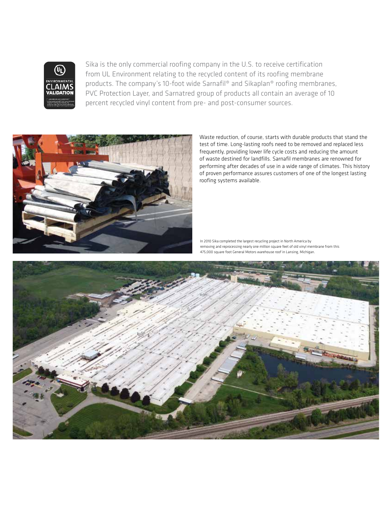

Sika is the only commercial roofing company in the U.S. to receive certification from UL Environment relating to the recycled content of its roofing membrane products. The company's 10-foot wide Sarnafil® and Sikaplan® roofing membranes, PVC Protection Layer, and Sarnatred group of products all contain an average of 10 percent recycled vinyl content from pre- and post-consumer sources.



Waste reduction, of course, starts with durable products that stand the test of time. Long-lasting roofs need to be removed and replaced less frequently, providing lower life cycle costs and reducing the amount of waste destined for landfills. Sarnafil membranes are renowned for performing after decades of use in a wide range of climates. This history of proven performance assures customers of one of the longest lasting roofing systems available.

In 2010 Sika completed the largest recycling project in North America by removing and reprocessing nearly one million square feet of old vinyl membrane from this 475,000 square foot General Motors warehouse roof in Lansing, Michigan.